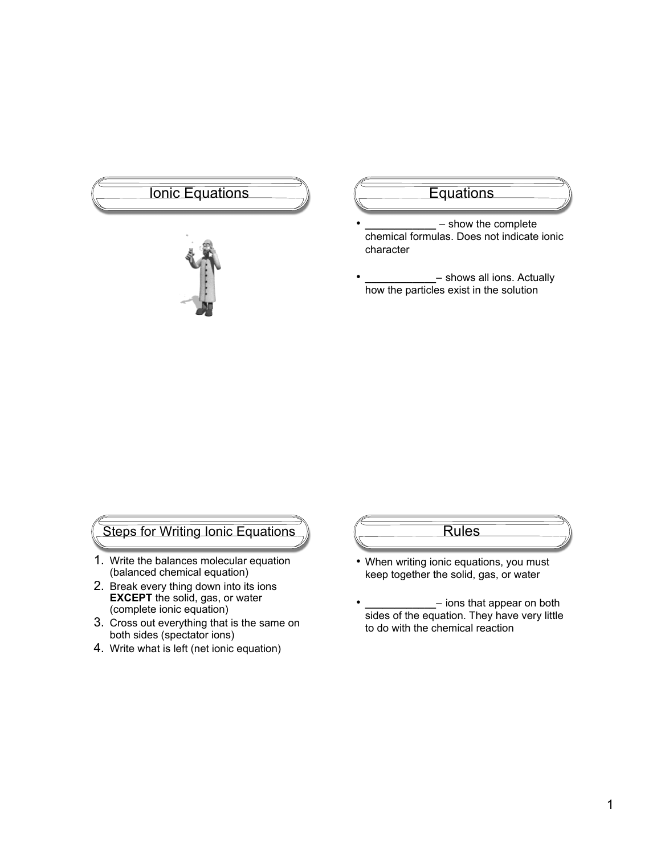# Ionic Equations (Changel Equations



- **\_\_\_\_\_\_\_\_\_\_\_\_** show the complete chemical formulas. Does not indicate ionic character
- **\_\_\_\_\_\_\_\_\_\_\_\_** shows all ions. Actually how the particles exist in the solution

### Steps for Writing Ionic Equations

- 1. Write the balances molecular equation (balanced chemical equation)
- 2. Break every thing down into its ions **EXCEPT** the solid, gas, or water (complete ionic equation)
- 3. Cross out everything that is the same on both sides (spectator ions)
- 4. Write what is left (net ionic equation)

## Rules

- When writing ionic equations, you must keep together the solid, gas, or water
- **\_\_\_\_\_\_\_\_\_\_\_\_** ions that appear on both sides of the equation. They have very little to do with the chemical reaction